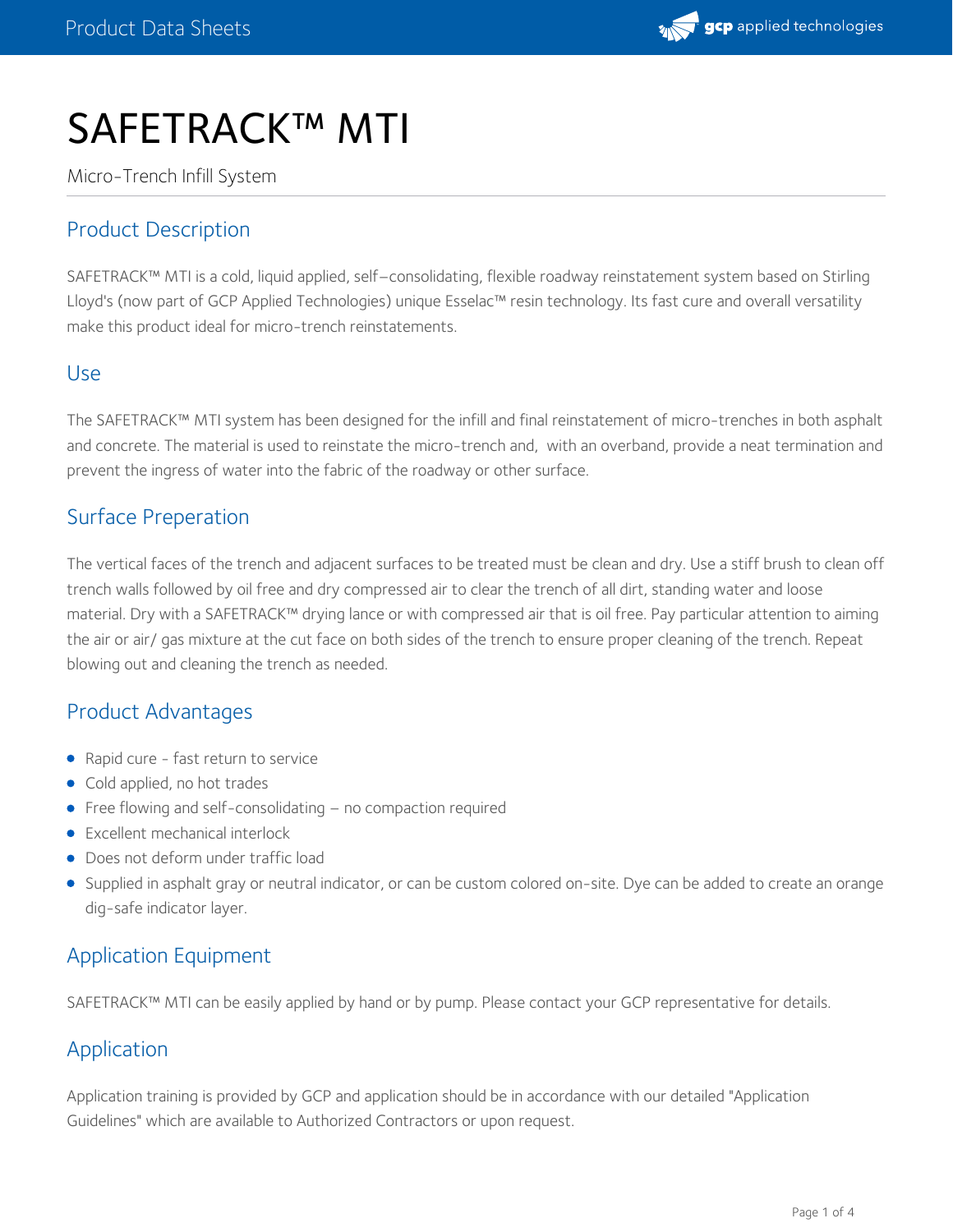

# SAFETRACK™ MTI

Micro-Trench Infill System

## Product Description

SAFETRACK™ MTI is a cold, liquid applied, self–consolidating, flexible roadway reinstatement system based on Stirling Lloyd's (now part of GCP Applied Technologies) unique Esselac™ resin technology. Its fast cure and overall versatility make this product ideal for micro-trench reinstatements.

## Use

The SAFETRACK™ MTI system has been designed for the infill and final reinstatement of micro-trenches in both asphalt and concrete. The material is used to reinstate the micro-trench and, with an overband, provide a neat termination and prevent the ingress of water into the fabric of the roadway or other surface.

## Surface Preperation

The vertical faces of the trench and adjacent surfaces to be treated must be clean and dry. Use a stiff brush to clean off trench walls followed by oil free and dry compressed air to clear the trench of all dirt, standing water and loose material. Dry with a SAFETRACK™ drying lance or with compressed air that is oil free. Pay particular attention to aiming the air or air/ gas mixture at the cut face on both sides of the trench to ensure proper cleaning of the trench. Repeat blowing out and cleaning the trench as needed.

## Product Advantages

- Rapid cure fast return to service
- Cold applied, no hot trades
- Free flowing and self-consolidating no compaction required
- Excellent mechanical interlock
- Does not deform under traffic load
- Supplied in asphalt gray or neutral indicator, or can be custom colored on-site. Dye can be added to create an orange dig-safe indicator layer.

## Application Equipment

SAFETRACK™ MTI can be easily applied by hand or by pump. Please contact your GCP representative for details.

## Application

Application training is provided by GCP and application should be in accordance with our detailed "Application Guidelines" which are available to Authorized Contractors or upon request.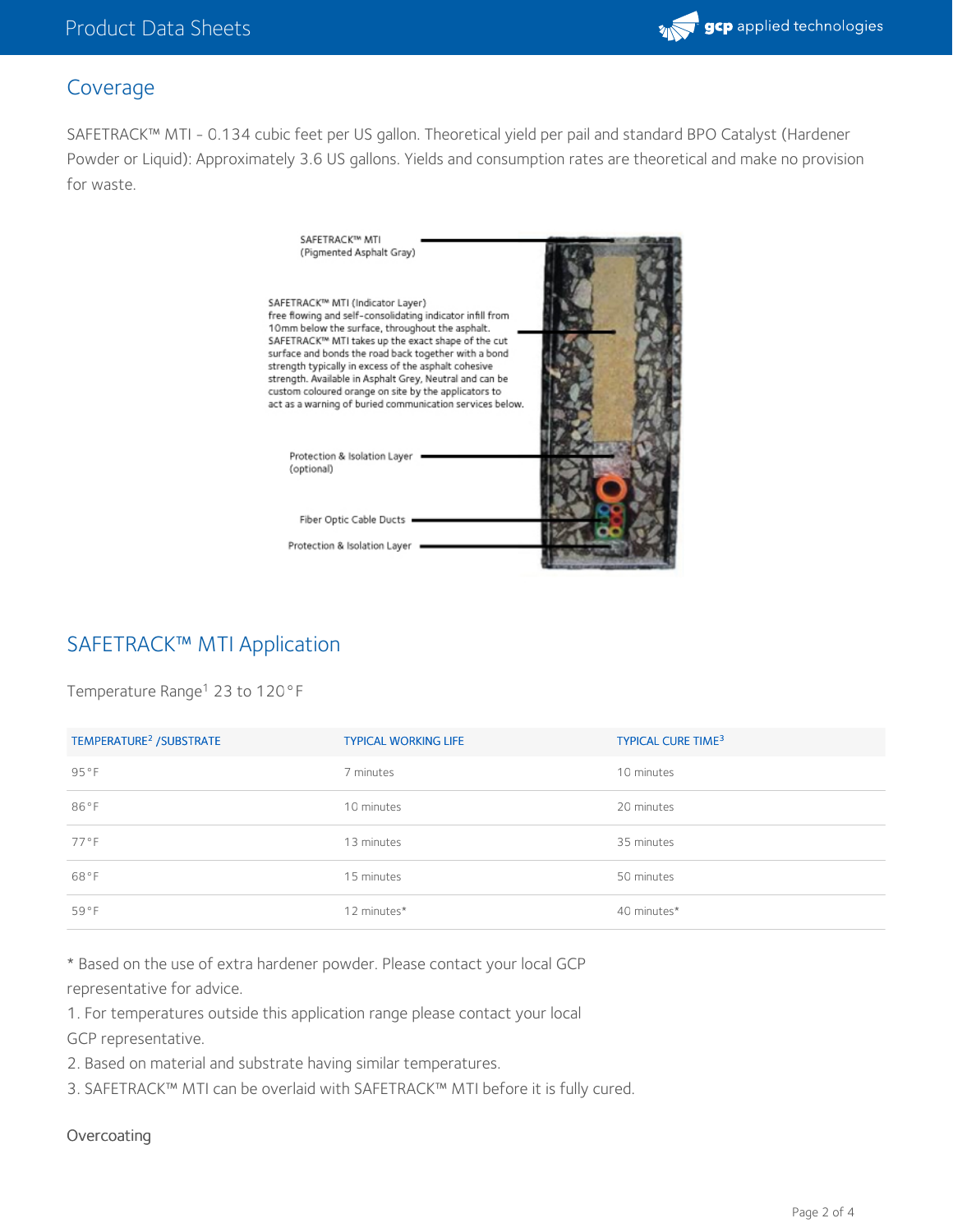

## Coverage

SAFETRACK™ MTI - 0.134 cubic feet per US gallon. Theoretical yield per pail and standard BPO Catalyst (Hardener Powder or Liquid): Approximately 3.6 US gallons. Yields and consumption rates are theoretical and make no provision for waste.



## SAFETRACK™ MTI Application

Temperature Range<sup>1</sup> 23 to 120°F

| TEMPERATURE <sup>2</sup> / SUBSTRATE | <b>TYPICAL WORKING LIFE</b> | <b>TYPICAL CURE TIME3</b> |
|--------------------------------------|-----------------------------|---------------------------|
| 95°F                                 | 7 minutes                   | 10 minutes                |
| 86°F                                 | 10 minutes                  | 20 minutes                |
| 77°F                                 | 13 minutes                  | 35 minutes                |
| 68°F                                 | 15 minutes                  | 50 minutes                |
| 59°F                                 | 12 minutes*                 | 40 minutes*               |

\* Based on the use of extra hardener powder. Please contact your local GCP representative for advice.

1. For temperatures outside this application range please contact your local GCP representative.

2. Based on material and substrate having similar temperatures.

3. SAFETRACK™ MTI can be overlaid with SAFETRACK™ MTI before it is fully cured.

#### **Overcoating**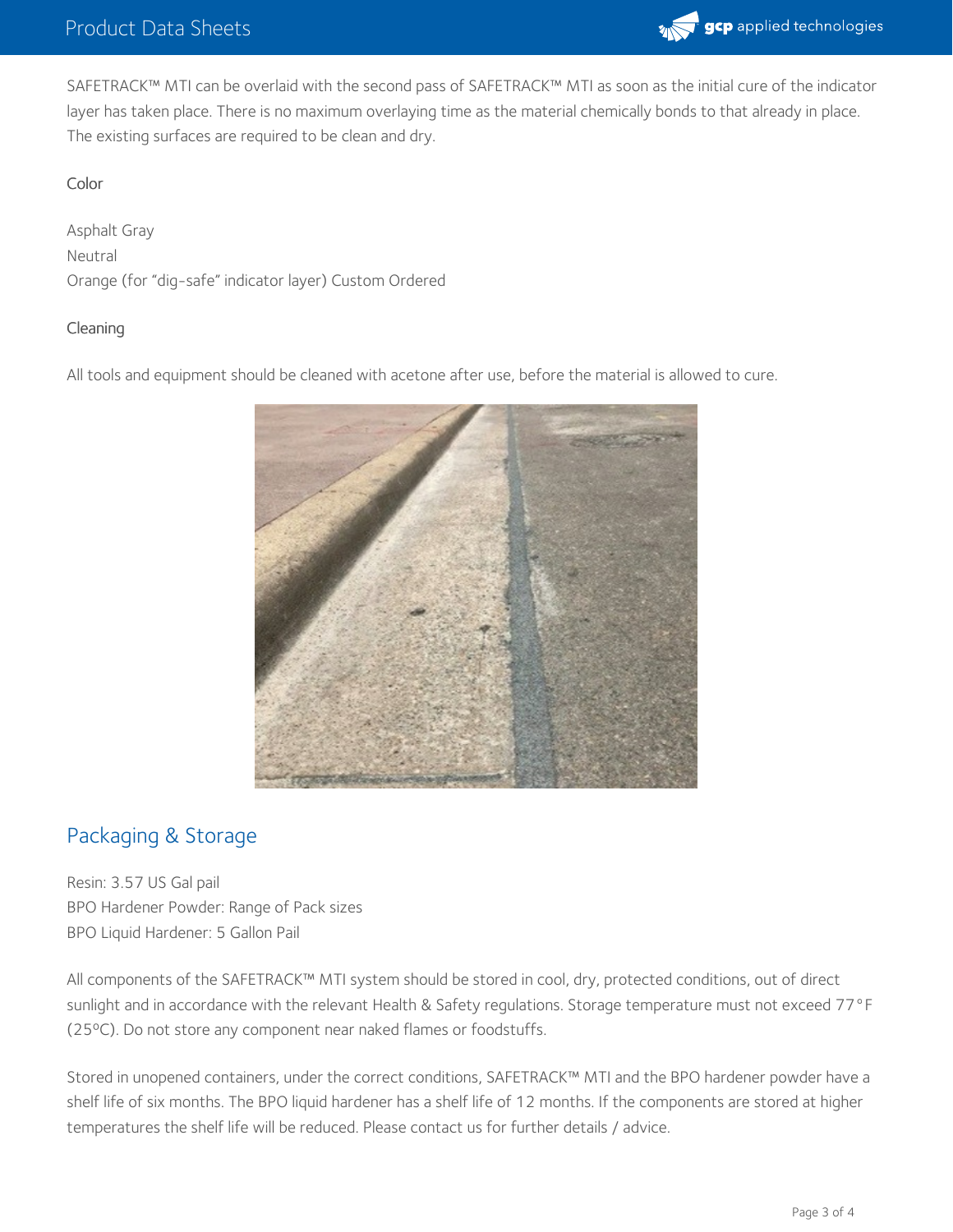

SAFETRACK™ MTI can be overlaid with the second pass of SAFETRACK™ MTI as soon as the initial cure of the indicator layer has taken place. There is no maximum overlaying time as the material chemically bonds to that already in place. The existing surfaces are required to be clean and dry.

### Color

Asphalt Gray Neutral Orange (for "dig-safe" indicator layer) Custom Ordered

#### Cleaning

All tools and equipment should be cleaned with acetone after use, before the material is allowed to cure.



## Packaging & Storage

Resin: 3.57 US Gal pail BPO Hardener Powder: Range of Pack sizes BPO Liquid Hardener: 5 Gallon Pail

All components of the SAFETRACK™ MTI system should be stored in cool, dry, protected conditions, out of direct sunlight and in accordance with the relevant Health & Safety regulations. Storage temperature must not exceed 77°F (25ºC). Do not store any component near naked flames or foodstuffs.

Stored in unopened containers, under the correct conditions, SAFETRACK™ MTI and the BPO hardener powder have a shelf life of six months. The BPO liquid hardener has a shelf life of 12 months. If the components are stored at higher temperatures the shelf life will be reduced. Please contact us for further details / advice.